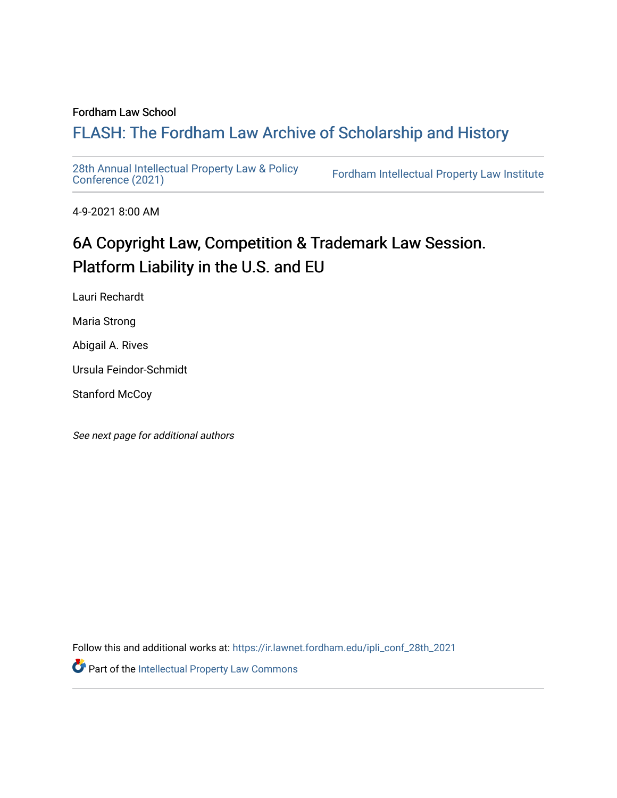#### Fordham Law School

# FLASH: The For[dham Law Archive of Scholarship and Hist](https://ir.lawnet.fordham.edu/)ory

[28th Annual Intellectual Property Law & Policy](https://ir.lawnet.fordham.edu/ipli_conf_28th_2021)<br>Conference (2021)

Fordham Intellectual Property Law Institute

4-9-2021 8:00 AM

# 6A Copyright Law, Competition & Trademark Law Session. Platform Liability in the U.S. and EU

Lauri Rechardt

Maria Strong

Abigail A. Rives

Ursula Feindor-Schmidt

Stanford McCoy

See next page for additional authors

Follow this and additional works at: [https://ir.lawnet.fordham.edu/ipli\\_conf\\_28th\\_2021](https://ir.lawnet.fordham.edu/ipli_conf_28th_2021?utm_source=ir.lawnet.fordham.edu%2Fipli_conf_28th_2021%2F17&utm_medium=PDF&utm_campaign=PDFCoverPages) 

Part of the [Intellectual Property Law Commons](http://network.bepress.com/hgg/discipline/896?utm_source=ir.lawnet.fordham.edu%2Fipli_conf_28th_2021%2F17&utm_medium=PDF&utm_campaign=PDFCoverPages)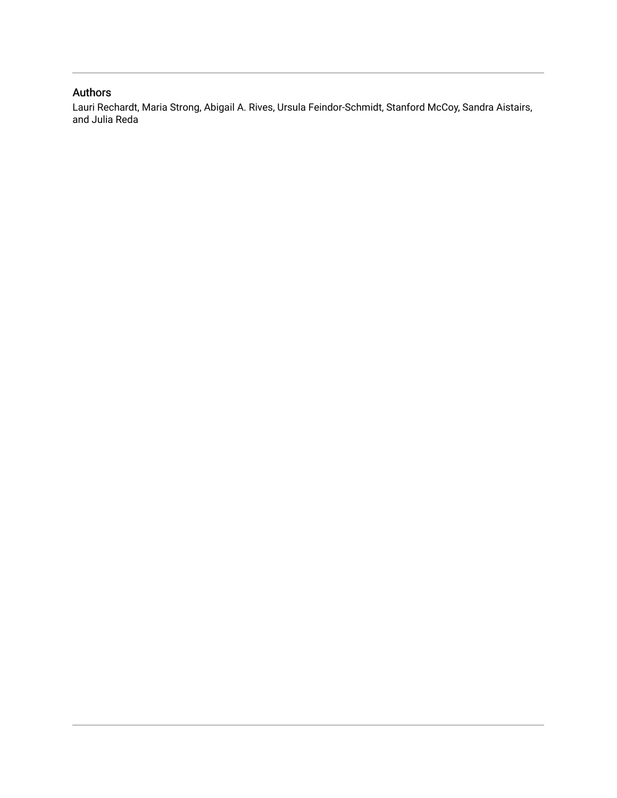# Authors

Lauri Rechardt, Maria Strong, Abigail A. Rives, Ursula Feindor-Schmidt, Stanford McCoy, Sandra Aistairs, and Julia Reda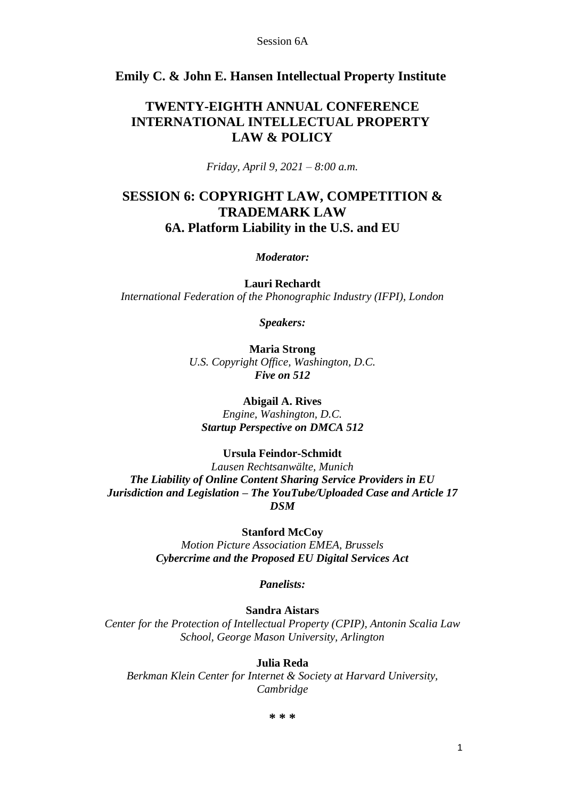# **Emily C. & John E. Hansen Intellectual Property Institute**

# **TWENTY-EIGHTH ANNUAL CONFERENCE INTERNATIONAL INTELLECTUAL PROPERTY LAW & POLICY**

*Friday, April 9, 2021 – 8:00 a.m.*

# **SESSION 6: COPYRIGHT LAW, COMPETITION & TRADEMARK LAW 6A. Platform Liability in the U.S. and EU**

*Moderator:*

**Lauri Rechardt** *International Federation of the Phonographic Industry (IFPI), London*

*Speakers:*

**Maria Strong** *U.S. Copyright Office, Washington, D.C. Five on 512*

**Abigail A. Rives**

*Engine, Washington, D.C. Startup Perspective on DMCA 512*

## **Ursula Feindor-Schmidt**

*Lausen Rechtsanwälte, Munich The Liability of Online Content Sharing Service Providers in EU Jurisdiction and Legislation – The YouTube/Uploaded Case and Article 17 DSM*

**Stanford McCoy**

*Motion Picture Association EMEA, Brussels Cybercrime and the Proposed EU Digital Services Act*

*Panelists:*

## **Sandra Aistars**

*Center for the Protection of Intellectual Property (CPIP), Antonin Scalia Law School, George Mason University, Arlington*

## **Julia Reda**

*Berkman Klein Center for Internet & Society at Harvard University, Cambridge*

**\* \* \***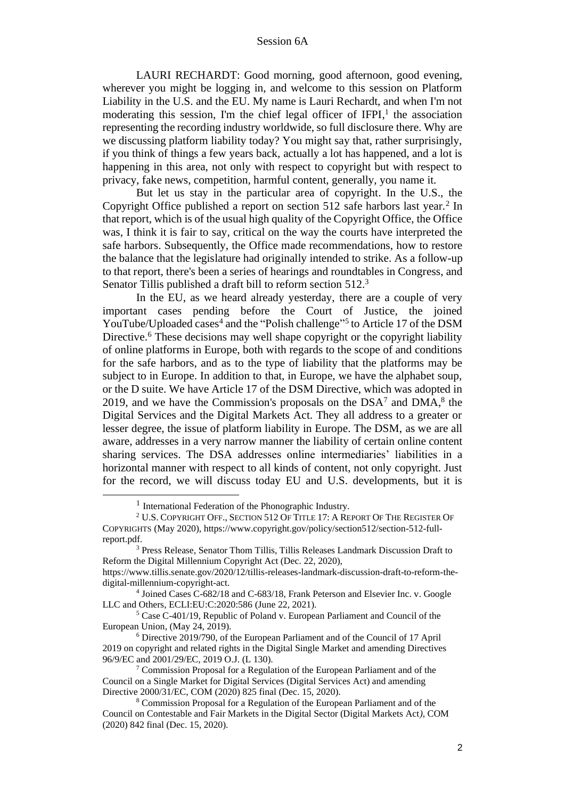LAURI RECHARDT: Good morning, good afternoon, good evening, wherever you might be logging in, and welcome to this session on Platform Liability in the U.S. and the EU. My name is Lauri Rechardt, and when I'm not moderating this session, I'm the chief legal officer of IFPI,<sup>1</sup> the association representing the recording industry worldwide, so full disclosure there. Why are we discussing platform liability today? You might say that, rather surprisingly, if you think of things a few years back, actually a lot has happened, and a lot is happening in this area, not only with respect to copyright but with respect to privacy, fake news, competition, harmful content, generally, you name it.

But let us stay in the particular area of copyright. In the U.S., the Copyright Office published a report on section 512 safe harbors last year.<sup>2</sup> In that report, which is of the usual high quality of the Copyright Office, the Office was, I think it is fair to say, critical on the way the courts have interpreted the safe harbors. Subsequently, the Office made recommendations, how to restore the balance that the legislature had originally intended to strike. As a follow-up to that report, there's been a series of hearings and roundtables in Congress, and Senator Tillis published a draft bill to reform section 512.<sup>3</sup>

In the EU, as we heard already yesterday, there are a couple of very important cases pending before the Court of Justice, the joined YouTube/Uploaded cases<sup>4</sup> and the "Polish challenge"<sup>5</sup> to Article 17 of the DSM Directive.<sup>6</sup> These decisions may well shape copyright or the copyright liability of online platforms in Europe, both with regards to the scope of and conditions for the safe harbors, and as to the type of liability that the platforms may be subject to in Europe. In addition to that, in Europe, we have the alphabet soup, or the D suite. We have Article 17 of the DSM Directive, which was adopted in 2019, and we have the Commission's proposals on the  $DSA^7$  and  $DMA^8$ , the Digital Services and the Digital Markets Act. They all address to a greater or lesser degree, the issue of platform liability in Europe. The DSM, as we are all aware, addresses in a very narrow manner the liability of certain online content sharing services. The DSA addresses online intermediaries' liabilities in a horizontal manner with respect to all kinds of content, not only copyright. Just for the record, we will discuss today EU and U.S. developments, but it is

<sup>&</sup>lt;sup>1</sup> International Federation of the Phonographic Industry.

<sup>&</sup>lt;sup>2</sup> U.S. COPYRIGHT OFF., SECTION 512 OF TITLE 17: A REPORT OF THE REGISTER OF COPYRIGHTS (May 2020), https://www.copyright.gov/policy/section512/section-512-fullreport.pdf.

<sup>3</sup> Press Release, Senator Thom Tillis, Tillis Releases Landmark Discussion Draft to Reform the Digital Millennium Copyright Act (Dec. 22, 2020), https://www.tillis.senate.gov/2020/12/tillis-releases-landmark-discussion-draft-to-reform-the-

digital-millennium-copyright-act.

<sup>&</sup>lt;sup>4</sup> Joined Cases C-682/18 and C-683/18, Frank Peterson and Elsevier Inc. v. Google LLC and Others, ECLI:EU:C:2020:586 (June 22, 2021).

<sup>5</sup> Case C-401/19, Republic of Poland v. European Parliament and Council of the European Union, (May 24, 2019).

<sup>6</sup> Directive 2019/790, of the European Parliament and of the Council of 17 April 2019 on copyright and related rights in the Digital Single Market and amending Directives 96/9/EC and 2001/29/EC, 2019 O.J. (L 130).

 $7$  Commission Proposal for a Regulation of the European Parliament and of the Council on a Single Market for Digital Services (Digital Services Act) and amending Directive 2000/31/EC, COM (2020) 825 final (Dec. 15, 2020).

<sup>8</sup> Commission Proposal for a Regulation of the European Parliament and of the Council on Contestable and Fair Markets in the Digital Sector (Digital Markets Act*)*, COM (2020) 842 final (Dec. 15, 2020).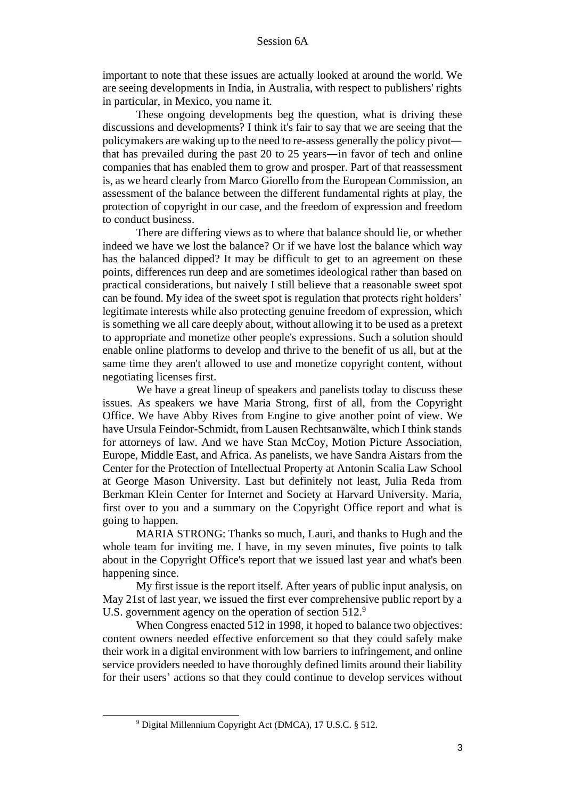important to note that these issues are actually looked at around the world. We are seeing developments in India, in Australia, with respect to publishers' rights in particular, in Mexico, you name it.

These ongoing developments beg the question, what is driving these discussions and developments? I think it's fair to say that we are seeing that the policymakers are waking up to the need to re-assess generally the policy pivot that has prevailed during the past 20 to 25 years—in favor of tech and online companies that has enabled them to grow and prosper. Part of that reassessment is, as we heard clearly from Marco Giorello from the European Commission, an assessment of the balance between the different fundamental rights at play, the protection of copyright in our case, and the freedom of expression and freedom to conduct business.

There are differing views as to where that balance should lie, or whether indeed we have we lost the balance? Or if we have lost the balance which way has the balanced dipped? It may be difficult to get to an agreement on these points, differences run deep and are sometimes ideological rather than based on practical considerations, but naively I still believe that a reasonable sweet spot can be found. My idea of the sweet spot is regulation that protects right holders' legitimate interests while also protecting genuine freedom of expression, which is something we all care deeply about, without allowing it to be used as a pretext to appropriate and monetize other people's expressions. Such a solution should enable online platforms to develop and thrive to the benefit of us all, but at the same time they aren't allowed to use and monetize copyright content, without negotiating licenses first.

We have a great lineup of speakers and panelists today to discuss these issues. As speakers we have Maria Strong, first of all, from the Copyright Office. We have Abby Rives from Engine to give another point of view. We have Ursula Feindor-Schmidt, from Lausen Rechtsanwälte, which I think stands for attorneys of law. And we have Stan McCoy, Motion Picture Association, Europe, Middle East, and Africa. As panelists, we have Sandra Aistars from the Center for the Protection of Intellectual Property at Antonin Scalia Law School at George Mason University. Last but definitely not least, Julia Reda from Berkman Klein Center for Internet and Society at Harvard University. Maria, first over to you and a summary on the Copyright Office report and what is going to happen.

MARIA STRONG: Thanks so much, Lauri, and thanks to Hugh and the whole team for inviting me. I have, in my seven minutes, five points to talk about in the Copyright Office's report that we issued last year and what's been happening since.

My first issue is the report itself. After years of public input analysis, on May 21st of last year, we issued the first ever comprehensive public report by a U.S. government agency on the operation of section 512.<sup>9</sup>

When Congress enacted 512 in 1998, it hoped to balance two objectives: content owners needed effective enforcement so that they could safely make their work in a digital environment with low barriers to infringement, and online service providers needed to have thoroughly defined limits around their liability for their users' actions so that they could continue to develop services without

<sup>9</sup> Digital Millennium Copyright Act (DMCA), 17 U.S.C. § 512.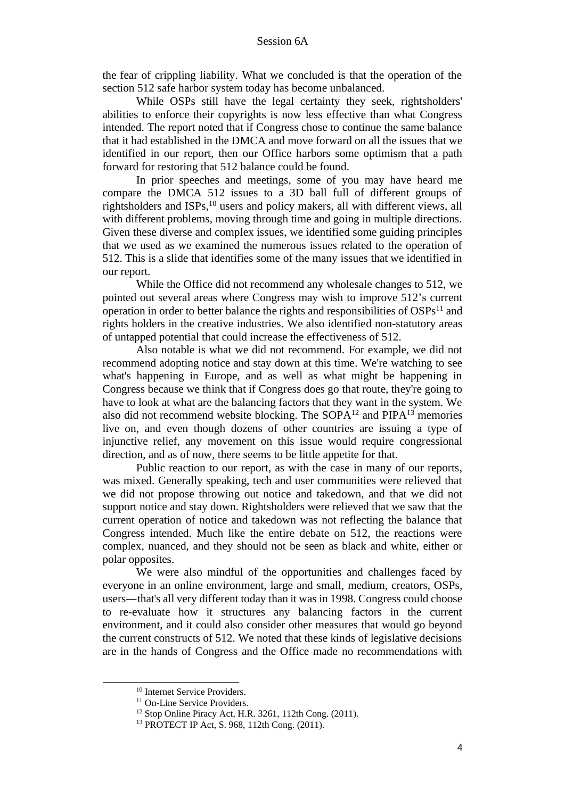the fear of crippling liability. What we concluded is that the operation of the section 512 safe harbor system today has become unbalanced.

While OSPs still have the legal certainty they seek, rightsholders' abilities to enforce their copyrights is now less effective than what Congress intended. The report noted that if Congress chose to continue the same balance that it had established in the DMCA and move forward on all the issues that we identified in our report, then our Office harbors some optimism that a path forward for restoring that 512 balance could be found.

In prior speeches and meetings, some of you may have heard me compare the DMCA 512 issues to a 3D ball full of different groups of rightsholders and ISPs, <sup>10</sup> users and policy makers, all with different views, all with different problems, moving through time and going in multiple directions. Given these diverse and complex issues, we identified some guiding principles that we used as we examined the numerous issues related to the operation of 512. This is a slide that identifies some of the many issues that we identified in our report.

While the Office did not recommend any wholesale changes to 512, we pointed out several areas where Congress may wish to improve 512's current operation in order to better balance the rights and responsibilities of  $OSPs<sup>11</sup>$  and rights holders in the creative industries. We also identified non-statutory areas of untapped potential that could increase the effectiveness of 512.

Also notable is what we did not recommend. For example, we did not recommend adopting notice and stay down at this time. We're watching to see what's happening in Europe, and as well as what might be happening in Congress because we think that if Congress does go that route, they're going to have to look at what are the balancing factors that they want in the system. We also did not recommend website blocking. The  $SOPA<sup>12</sup>$  and  $PIPA<sup>13</sup>$  memories live on, and even though dozens of other countries are issuing a type of injunctive relief, any movement on this issue would require congressional direction, and as of now, there seems to be little appetite for that.

Public reaction to our report, as with the case in many of our reports, was mixed. Generally speaking, tech and user communities were relieved that we did not propose throwing out notice and takedown, and that we did not support notice and stay down. Rightsholders were relieved that we saw that the current operation of notice and takedown was not reflecting the balance that Congress intended. Much like the entire debate on 512, the reactions were complex, nuanced, and they should not be seen as black and white, either or polar opposites.

We were also mindful of the opportunities and challenges faced by everyone in an online environment, large and small, medium, creators, OSPs, users—that's all very different today than it was in 1998. Congress could choose to re-evaluate how it structures any balancing factors in the current environment, and it could also consider other measures that would go beyond the current constructs of 512. We noted that these kinds of legislative decisions are in the hands of Congress and the Office made no recommendations with

<sup>&</sup>lt;sup>10</sup> Internet Service Providers.

<sup>&</sup>lt;sup>11</sup> On-Line Service Providers.

<sup>12</sup> Stop Online Piracy Act, H.R. 3261, 112th Cong. (2011).

<sup>13</sup> PROTECT IP Act, S. 968, 112th Cong. (2011).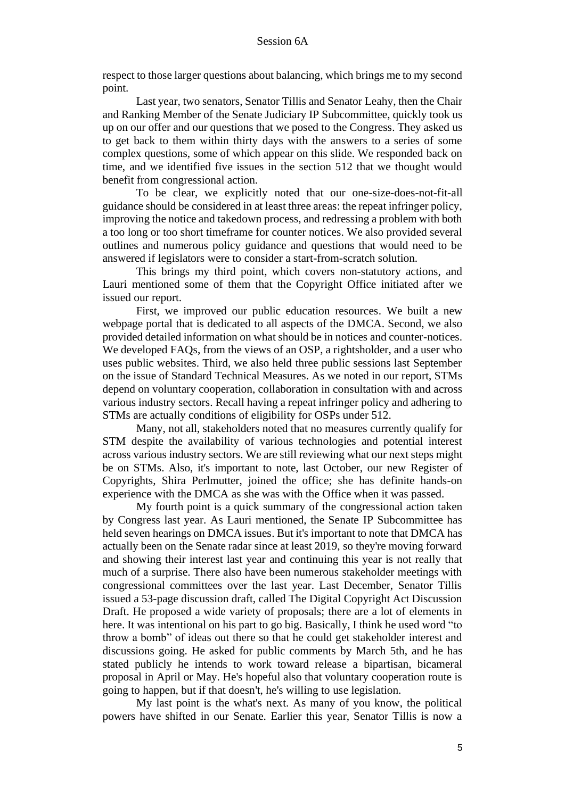respect to those larger questions about balancing, which brings me to my second point.

Last year, two senators, Senator Tillis and Senator Leahy, then the Chair and Ranking Member of the Senate Judiciary IP Subcommittee, quickly took us up on our offer and our questions that we posed to the Congress. They asked us to get back to them within thirty days with the answers to a series of some complex questions, some of which appear on this slide. We responded back on time, and we identified five issues in the section 512 that we thought would benefit from congressional action.

To be clear, we explicitly noted that our one-size-does-not-fit-all guidance should be considered in at least three areas: the repeat infringer policy, improving the notice and takedown process, and redressing a problem with both a too long or too short timeframe for counter notices. We also provided several outlines and numerous policy guidance and questions that would need to be answered if legislators were to consider a start-from-scratch solution.

This brings my third point, which covers non-statutory actions, and Lauri mentioned some of them that the Copyright Office initiated after we issued our report.

First, we improved our public education resources. We built a new webpage portal that is dedicated to all aspects of the DMCA. Second, we also provided detailed information on what should be in notices and counter-notices. We developed FAQs, from the views of an OSP, a rightsholder, and a user who uses public websites. Third, we also held three public sessions last September on the issue of Standard Technical Measures. As we noted in our report, STMs depend on voluntary cooperation, collaboration in consultation with and across various industry sectors. Recall having a repeat infringer policy and adhering to STMs are actually conditions of eligibility for OSPs under 512.

Many, not all, stakeholders noted that no measures currently qualify for STM despite the availability of various technologies and potential interest across various industry sectors. We are still reviewing what our next steps might be on STMs. Also, it's important to note, last October, our new Register of Copyrights, Shira Perlmutter, joined the office; she has definite hands-on experience with the DMCA as she was with the Office when it was passed.

My fourth point is a quick summary of the congressional action taken by Congress last year. As Lauri mentioned, the Senate IP Subcommittee has held seven hearings on DMCA issues. But it's important to note that DMCA has actually been on the Senate radar since at least 2019, so they're moving forward and showing their interest last year and continuing this year is not really that much of a surprise. There also have been numerous stakeholder meetings with congressional committees over the last year. Last December, Senator Tillis issued a 53-page discussion draft, called The Digital Copyright Act Discussion Draft. He proposed a wide variety of proposals; there are a lot of elements in here. It was intentional on his part to go big. Basically, I think he used word "to throw a bomb" of ideas out there so that he could get stakeholder interest and discussions going. He asked for public comments by March 5th, and he has stated publicly he intends to work toward release a bipartisan, bicameral proposal in April or May. He's hopeful also that voluntary cooperation route is going to happen, but if that doesn't, he's willing to use legislation.

My last point is the what's next. As many of you know, the political powers have shifted in our Senate. Earlier this year, Senator Tillis is now a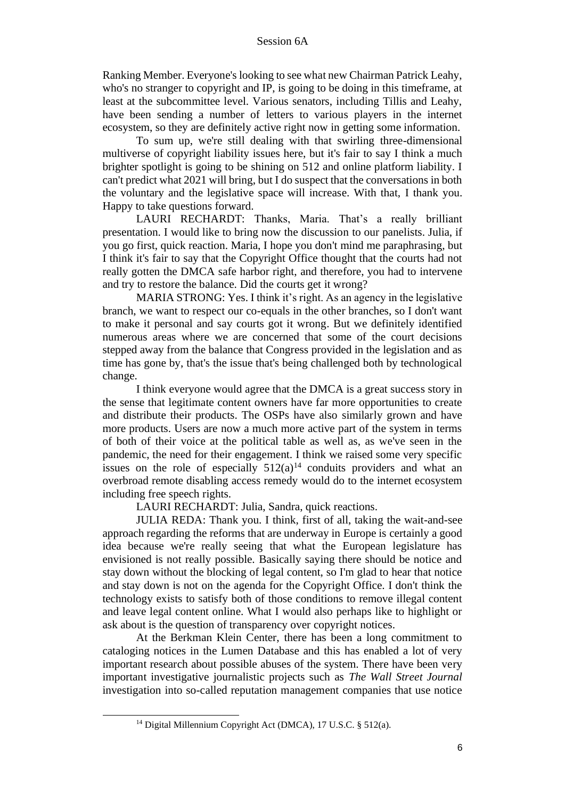Ranking Member. Everyone's looking to see what new Chairman Patrick Leahy, who's no stranger to copyright and IP, is going to be doing in this timeframe, at least at the subcommittee level. Various senators, including Tillis and Leahy, have been sending a number of letters to various players in the internet ecosystem, so they are definitely active right now in getting some information.

To sum up, we're still dealing with that swirling three-dimensional multiverse of copyright liability issues here, but it's fair to say I think a much brighter spotlight is going to be shining on 512 and online platform liability. I can't predict what 2021 will bring, but I do suspect that the conversations in both the voluntary and the legislative space will increase. With that, I thank you. Happy to take questions forward.

LAURI RECHARDT: Thanks, Maria. That's a really brilliant presentation. I would like to bring now the discussion to our panelists. Julia, if you go first, quick reaction. Maria, I hope you don't mind me paraphrasing, but I think it's fair to say that the Copyright Office thought that the courts had not really gotten the DMCA safe harbor right, and therefore, you had to intervene and try to restore the balance. Did the courts get it wrong?

MARIA STRONG: Yes. I think it's right. As an agency in the legislative branch, we want to respect our co-equals in the other branches, so I don't want to make it personal and say courts got it wrong. But we definitely identified numerous areas where we are concerned that some of the court decisions stepped away from the balance that Congress provided in the legislation and as time has gone by, that's the issue that's being challenged both by technological change.

I think everyone would agree that the DMCA is a great success story in the sense that legitimate content owners have far more opportunities to create and distribute their products. The OSPs have also similarly grown and have more products. Users are now a much more active part of the system in terms of both of their voice at the political table as well as, as we've seen in the pandemic, the need for their engagement. I think we raised some very specific issues on the role of especially  $512(a)^{14}$  conduits providers and what an overbroad remote disabling access remedy would do to the internet ecosystem including free speech rights.

LAURI RECHARDT: Julia, Sandra, quick reactions.

JULIA REDA: Thank you. I think, first of all, taking the wait-and-see approach regarding the reforms that are underway in Europe is certainly a good idea because we're really seeing that what the European legislature has envisioned is not really possible. Basically saying there should be notice and stay down without the blocking of legal content, so I'm glad to hear that notice and stay down is not on the agenda for the Copyright Office. I don't think the technology exists to satisfy both of those conditions to remove illegal content and leave legal content online. What I would also perhaps like to highlight or ask about is the question of transparency over copyright notices.

At the Berkman Klein Center, there has been a long commitment to cataloging notices in the Lumen Database and this has enabled a lot of very important research about possible abuses of the system. There have been very important investigative journalistic projects such as *The Wall Street Journal*  investigation into so-called reputation management companies that use notice

<sup>14</sup> Digital Millennium Copyright Act (DMCA), 17 U.S.C. § 512(a).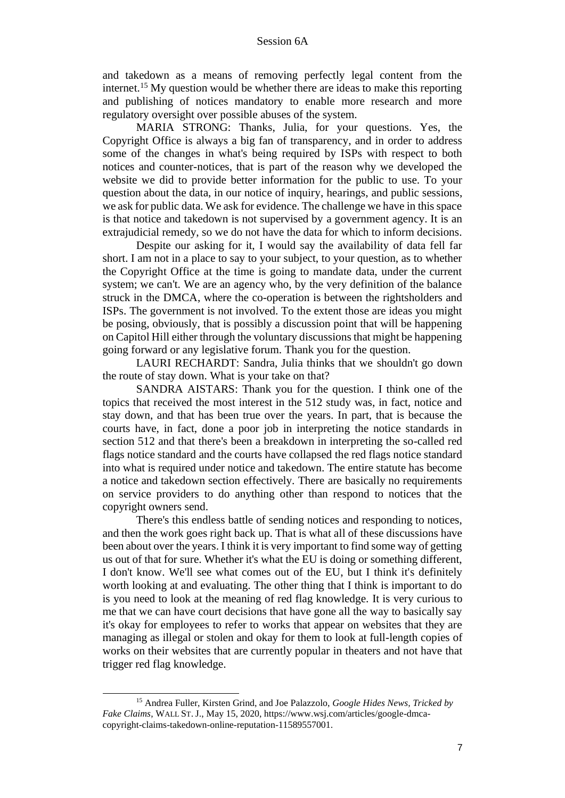and takedown as a means of removing perfectly legal content from the internet.<sup>15</sup> My question would be whether there are ideas to make this reporting and publishing of notices mandatory to enable more research and more regulatory oversight over possible abuses of the system.

MARIA STRONG: Thanks, Julia, for your questions. Yes, the Copyright Office is always a big fan of transparency, and in order to address some of the changes in what's being required by ISPs with respect to both notices and counter-notices, that is part of the reason why we developed the website we did to provide better information for the public to use. To your question about the data, in our notice of inquiry, hearings, and public sessions, we ask for public data. We ask for evidence. The challenge we have in this space is that notice and takedown is not supervised by a government agency. It is an extrajudicial remedy, so we do not have the data for which to inform decisions.

Despite our asking for it, I would say the availability of data fell far short. I am not in a place to say to your subject, to your question, as to whether the Copyright Office at the time is going to mandate data, under the current system; we can't. We are an agency who, by the very definition of the balance struck in the DMCA, where the co-operation is between the rightsholders and ISPs. The government is not involved. To the extent those are ideas you might be posing, obviously, that is possibly a discussion point that will be happening on Capitol Hill either through the voluntary discussions that might be happening going forward or any legislative forum. Thank you for the question.

LAURI RECHARDT: Sandra, Julia thinks that we shouldn't go down the route of stay down. What is your take on that?

SANDRA AISTARS: Thank you for the question. I think one of the topics that received the most interest in the 512 study was, in fact, notice and stay down, and that has been true over the years. In part, that is because the courts have, in fact, done a poor job in interpreting the notice standards in section 512 and that there's been a breakdown in interpreting the so-called red flags notice standard and the courts have collapsed the red flags notice standard into what is required under notice and takedown. The entire statute has become a notice and takedown section effectively. There are basically no requirements on service providers to do anything other than respond to notices that the copyright owners send.

There's this endless battle of sending notices and responding to notices, and then the work goes right back up. That is what all of these discussions have been about over the years. I think it is very important to find some way of getting us out of that for sure. Whether it's what the EU is doing or something different, I don't know. We'll see what comes out of the EU, but I think it's definitely worth looking at and evaluating. The other thing that I think is important to do is you need to look at the meaning of red flag knowledge. It is very curious to me that we can have court decisions that have gone all the way to basically say it's okay for employees to refer to works that appear on websites that they are managing as illegal or stolen and okay for them to look at full-length copies of works on their websites that are currently popular in theaters and not have that trigger red flag knowledge.

<sup>15</sup> Andrea Fuller, Kirsten Grind, and Joe Palazzolo, *Google Hides News, Tricked by Fake Claims*, WALL ST. J., May 15, 2020, https://www.wsj.com/articles/google-dmcacopyright-claims-takedown-online-reputation-11589557001.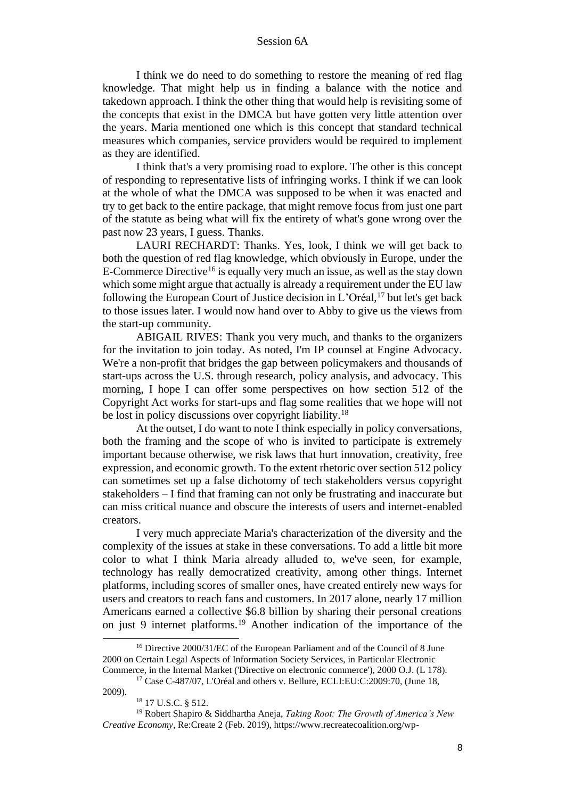I think we do need to do something to restore the meaning of red flag knowledge. That might help us in finding a balance with the notice and takedown approach. I think the other thing that would help is revisiting some of the concepts that exist in the DMCA but have gotten very little attention over the years. Maria mentioned one which is this concept that standard technical measures which companies, service providers would be required to implement as they are identified.

I think that's a very promising road to explore. The other is this concept of responding to representative lists of infringing works. I think if we can look at the whole of what the DMCA was supposed to be when it was enacted and try to get back to the entire package, that might remove focus from just one part of the statute as being what will fix the entirety of what's gone wrong over the past now 23 years, I guess. Thanks.

LAURI RECHARDT: Thanks. Yes, look, I think we will get back to both the question of red flag knowledge, which obviously in Europe, under the E-Commerce Directive<sup>16</sup> is equally very much an issue, as well as the stay down which some might argue that actually is already a requirement under the EU law following the European Court of Justice decision in L'Oréal, <sup>17</sup> but let's get back to those issues later. I would now hand over to Abby to give us the views from the start-up community.

ABIGAIL RIVES: Thank you very much, and thanks to the organizers for the invitation to join today. As noted, I'm IP counsel at Engine Advocacy. We're a non-profit that bridges the gap between policymakers and thousands of start-ups across the U.S. through research, policy analysis, and advocacy. This morning, I hope I can offer some perspectives on how section 512 of the Copyright Act works for start-ups and flag some realities that we hope will not be lost in policy discussions over copyright liability.<sup>18</sup>

At the outset, I do want to note I think especially in policy conversations, both the framing and the scope of who is invited to participate is extremely important because otherwise, we risk laws that hurt innovation, creativity, free expression, and economic growth. To the extent rhetoric over section 512 policy can sometimes set up a false dichotomy of tech stakeholders versus copyright stakeholders – I find that framing can not only be frustrating and inaccurate but can miss critical nuance and obscure the interests of users and internet-enabled creators.

I very much appreciate Maria's characterization of the diversity and the complexity of the issues at stake in these conversations. To add a little bit more color to what I think Maria already alluded to, we've seen, for example, technology has really democratized creativity, among other things. Internet platforms, including scores of smaller ones, have created entirely new ways for users and creators to reach fans and customers. In 2017 alone, nearly 17 million Americans earned a collective \$6.8 billion by sharing their personal creations on just 9 internet platforms.<sup>19</sup> Another indication of the importance of the

<sup>&</sup>lt;sup>16</sup> Directive 2000/31/EC of the European Parliament and of the Council of 8 June 2000 on Certain Legal Aspects of Information Society Services, in Particular Electronic Commerce, in the Internal Market ('Directive on electronic commerce'), 2000 O.J. (L 178).

<sup>17</sup> Case C-487/07, L'Oréal and others v. Bellure, ECLI:EU:C:2009:70, (June 18, 2009).

<sup>18</sup> 17 U.S.C. § 512.

<sup>19</sup> Robert Shapiro & Siddhartha Aneja, *Taking Root: The Growth of America's New Creative Economy*, Re:Create 2 (Feb. 2019), https://www.recreatecoalition.org/wp-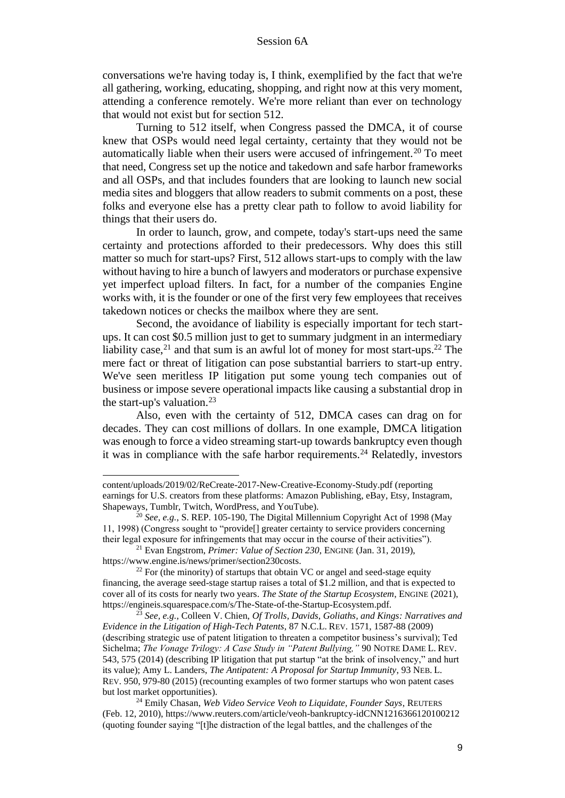conversations we're having today is, I think, exemplified by the fact that we're all gathering, working, educating, shopping, and right now at this very moment, attending a conference remotely. We're more reliant than ever on technology that would not exist but for section 512.

Turning to 512 itself, when Congress passed the DMCA, it of course knew that OSPs would need legal certainty, certainty that they would not be automatically liable when their users were accused of infringement.<sup>20</sup> To meet that need, Congress set up the notice and takedown and safe harbor frameworks and all OSPs, and that includes founders that are looking to launch new social media sites and bloggers that allow readers to submit comments on a post, these folks and everyone else has a pretty clear path to follow to avoid liability for things that their users do.

In order to launch, grow, and compete, today's start-ups need the same certainty and protections afforded to their predecessors. Why does this still matter so much for start-ups? First, 512 allows start-ups to comply with the law without having to hire a bunch of lawyers and moderators or purchase expensive yet imperfect upload filters. In fact, for a number of the companies Engine works with, it is the founder or one of the first very few employees that receives takedown notices or checks the mailbox where they are sent.

Second, the avoidance of liability is especially important for tech startups. It can cost \$0.5 million just to get to summary judgment in an intermediary liability case,<sup>21</sup> and that sum is an awful lot of money for most start-ups.<sup>22</sup> The mere fact or threat of litigation can pose substantial barriers to start-up entry. We've seen meritless IP litigation put some young tech companies out of business or impose severe operational impacts like causing a substantial drop in the start-up's valuation.<sup>23</sup>

Also, even with the certainty of 512, DMCA cases can drag on for decades. They can cost millions of dollars. In one example, DMCA litigation was enough to force a video streaming start-up towards bankruptcy even though it was in compliance with the safe harbor requirements.<sup>24</sup> Relatedly, investors

content/uploads/2019/02/ReCreate-2017-New-Creative-Economy-Study.pdf (reporting earnings for U.S. creators from these platforms: Amazon Publishing, eBay, Etsy, Instagram, Shapeways, Tumblr, Twitch, WordPress, and YouTube).

<sup>&</sup>lt;sup>20</sup> *See, e.g.*, S. REP. 105-190, The Digital Millennium Copyright Act of 1998 (May 11, 1998) (Congress sought to "provide[] greater certainty to service providers concerning their legal exposure for infringements that may occur in the course of their activities").

<sup>21</sup> Evan Engstrom, *Primer: Value of Section 230*, ENGINE (Jan. 31, 2019), https://www.engine.is/news/primer/section230costs.

 $22$  For (the minority) of startups that obtain VC or angel and seed-stage equity financing, the average seed-stage startup raises a total of \$1.2 million, and that is expected to cover all of its costs for nearly two years. *The State of the Startup Ecosystem*, ENGINE (2021), https://engineis.squarespace.com/s/The-State-of-the-Startup-Ecosystem.pdf.

<sup>23</sup> *See, e.g.*, Colleen V. Chien, *Of Trolls, Davids, Goliaths, and Kings: Narratives and Evidence in the Litigation of High-Tech Patents*, 87 N.C.L. REV. 1571, 1587-88 (2009) (describing strategic use of patent litigation to threaten a competitor business's survival); Ted Sichelma; *The Vonage Trilogy: A Case Study in "Patent Bullying,"* 90 NOTRE DAME L. REV. 543, 575 (2014) (describing IP litigation that put startup "at the brink of insolvency," and hurt its value); Amy L. Landers, *The Antipatent: A Proposal for Startup Immunity*, 93 NEB. L. REV. 950, 979-80 (2015) (recounting examples of two former startups who won patent cases but lost market opportunities).

<sup>24</sup> Emily Chasan, *Web Video Service Veoh to Liquidate, Founder Says*, REUTERS (Feb. 12, 2010), https://www.reuters.com/article/veoh-bankruptcy-idCNN1216366120100212 (quoting founder saying "[t]he distraction of the legal battles, and the challenges of the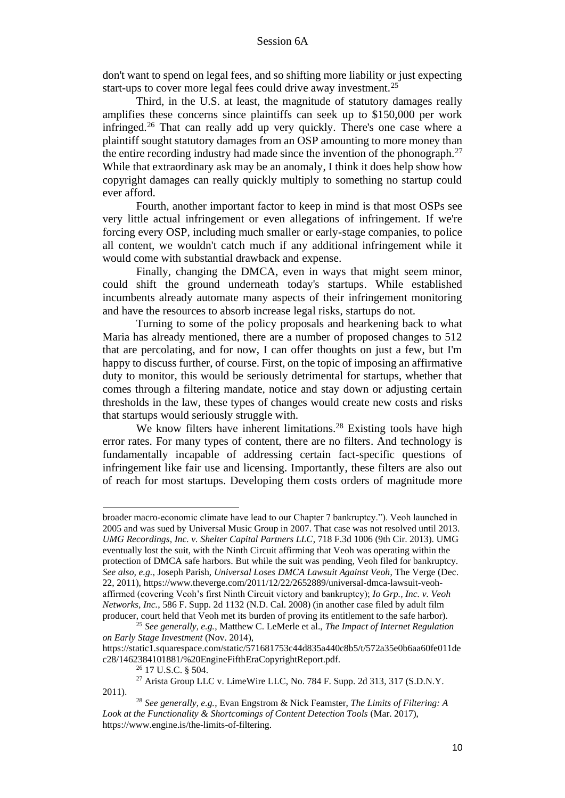don't want to spend on legal fees, and so shifting more liability or just expecting start-ups to cover more legal fees could drive away investment.<sup>25</sup>

Third, in the U.S. at least, the magnitude of statutory damages really amplifies these concerns since plaintiffs can seek up to \$150,000 per work infringed.<sup>26</sup> That can really add up very quickly. There's one case where a plaintiff sought statutory damages from an OSP amounting to more money than the entire recording industry had made since the invention of the phonograph.<sup>27</sup> While that extraordinary ask may be an anomaly, I think it does help show how copyright damages can really quickly multiply to something no startup could ever afford.

Fourth, another important factor to keep in mind is that most OSPs see very little actual infringement or even allegations of infringement. If we're forcing every OSP, including much smaller or early-stage companies, to police all content, we wouldn't catch much if any additional infringement while it would come with substantial drawback and expense.

Finally, changing the DMCA, even in ways that might seem minor, could shift the ground underneath today's startups. While established incumbents already automate many aspects of their infringement monitoring and have the resources to absorb increase legal risks, startups do not.

Turning to some of the policy proposals and hearkening back to what Maria has already mentioned, there are a number of proposed changes to 512 that are percolating, and for now, I can offer thoughts on just a few, but I'm happy to discuss further, of course. First, on the topic of imposing an affirmative duty to monitor, this would be seriously detrimental for startups, whether that comes through a filtering mandate, notice and stay down or adjusting certain thresholds in the law, these types of changes would create new costs and risks that startups would seriously struggle with.

We know filters have inherent limitations.<sup>28</sup> Existing tools have high error rates. For many types of content, there are no filters. And technology is fundamentally incapable of addressing certain fact-specific questions of infringement like fair use and licensing. Importantly, these filters are also out of reach for most startups. Developing them costs orders of magnitude more

broader macro-economic climate have lead to our Chapter 7 bankruptcy."). Veoh launched in 2005 and was sued by Universal Music Group in 2007. That case was not resolved until 2013. *UMG Recordings, Inc. v. Shelter Capital Partners LLC*, 718 F.3d 1006 (9th Cir. 2013). UMG eventually lost the suit, with the Ninth Circuit affirming that Veoh was operating within the protection of DMCA safe harbors. But while the suit was pending, Veoh filed for bankruptcy. *See also, e.g.*, Joseph Parish, *Universal Loses DMCA Lawsuit Against Veoh*, The Verge (Dec. 22, 2011), https://www.theverge.com/2011/12/22/2652889/universal-dmca-lawsuit-veohaffirmed (covering Veoh's first Ninth Circuit victory and bankruptcy); *Io Grp., Inc. v. Veoh Networks, Inc.*, 586 F. Supp. 2d 1132 (N.D. Cal. 2008) (in another case filed by adult film producer, court held that Veoh met its burden of proving its entitlement to the safe harbor).

<sup>25</sup> *See generally, e.g.*, Matthew C. LeMerle et al., *The Impact of Internet Regulation on Early Stage Investment* (Nov. 2014),

https://static1.squarespace.com/static/571681753c44d835a440c8b5/t/572a35e0b6aa60fe011de c28/1462384101881/%20EngineFifthEraCopyrightReport.pdf.

<sup>26</sup> 17 U.S.C. § 504.

<sup>&</sup>lt;sup>27</sup> Arista Group LLC v. LimeWire LLC, No. 784 F. Supp. 2d 313, 317 (S.D.N.Y. 2011).

<sup>28</sup> *See generally, e.g.*, Evan Engstrom & Nick Feamster, *The Limits of Filtering: A Look at the Functionality & Shortcomings of Content Detection Tools* (Mar. 2017), https://www.engine.is/the-limits-of-filtering.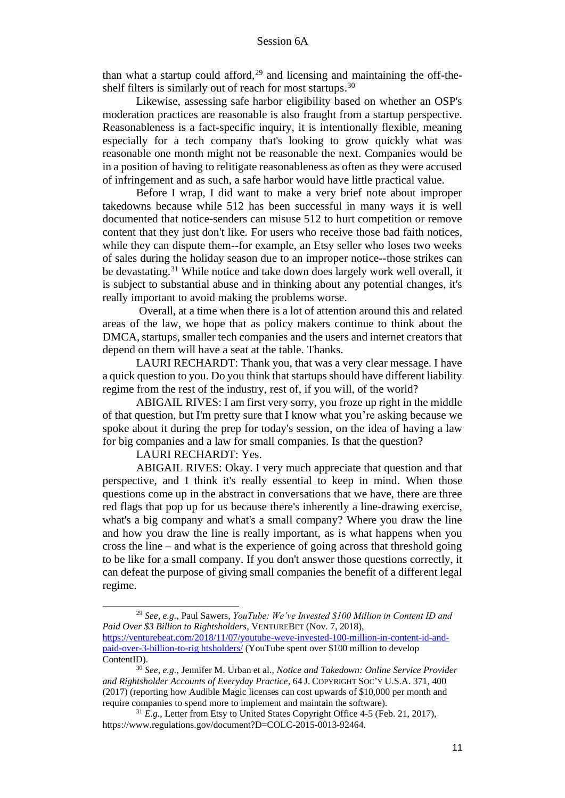than what a startup could afford, $29$  and licensing and maintaining the off-theshelf filters is similarly out of reach for most startups.<sup>30</sup>

Likewise, assessing safe harbor eligibility based on whether an OSP's moderation practices are reasonable is also fraught from a startup perspective. Reasonableness is a fact-specific inquiry, it is intentionally flexible, meaning especially for a tech company that's looking to grow quickly what was reasonable one month might not be reasonable the next. Companies would be in a position of having to relitigate reasonableness as often as they were accused of infringement and as such, a safe harbor would have little practical value.

Before I wrap, I did want to make a very brief note about improper takedowns because while 512 has been successful in many ways it is well documented that notice-senders can misuse 512 to hurt competition or remove content that they just don't like. For users who receive those bad faith notices, while they can dispute them--for example, an Etsy seller who loses two weeks of sales during the holiday season due to an improper notice--those strikes can be devastating.<sup>31</sup> While notice and take down does largely work well overall, it is subject to substantial abuse and in thinking about any potential changes, it's really important to avoid making the problems worse.

Overall, at a time when there is a lot of attention around this and related areas of the law, we hope that as policy makers continue to think about the DMCA, startups, smaller tech companies and the users and internet creators that depend on them will have a seat at the table. Thanks.

LAURI RECHARDT: Thank you, that was a very clear message. I have a quick question to you. Do you think that startups should have different liability regime from the rest of the industry, rest of, if you will, of the world?

ABIGAIL RIVES: I am first very sorry, you froze up right in the middle of that question, but I'm pretty sure that I know what you're asking because we spoke about it during the prep for today's session, on the idea of having a law for big companies and a law for small companies. Is that the question?

LAURI RECHARDT: Yes.

ABIGAIL RIVES: Okay. I very much appreciate that question and that perspective, and I think it's really essential to keep in mind. When those questions come up in the abstract in conversations that we have, there are three red flags that pop up for us because there's inherently a line-drawing exercise, what's a big company and what's a small company? Where you draw the line and how you draw the line is really important, as is what happens when you cross the line – and what is the experience of going across that threshold going to be like for a small company. If you don't answer those questions correctly, it can defeat the purpose of giving small companies the benefit of a different legal regime.

<sup>29</sup> *See, e.g.,* Paul Sawers, *YouTube: We've Invested \$100 Million in Content ID and Paid Over \$3 Billion to Rightsholders*, VENTUREBET (Nov. 7, 2018), https://venturebeat.com/2018/11/07/youtube-weve-invested-100-million-in-content-id-andpaid-over-3-billion-to-rig htsholders/ (YouTube spent over \$100 million to develop ContentID).

<sup>30</sup> *See, e.g.*, Jennifer M. Urban et al., *Notice and Takedown: Online Service Provider and Rightsholder Accounts of Everyday Practice*, 64 J. COPYRIGHT SOC'Y U.S.A. 371, 400 (2017) (reporting how Audible Magic licenses can cost upwards of \$10,000 per month and require companies to spend more to implement and maintain the software).

<sup>&</sup>lt;sup>31</sup> *E.g.*, Letter from Etsy to United States Copyright Office 4-5 (Feb. 21, 2017), https://www.regulations.gov/document?D=COLC-2015-0013-92464.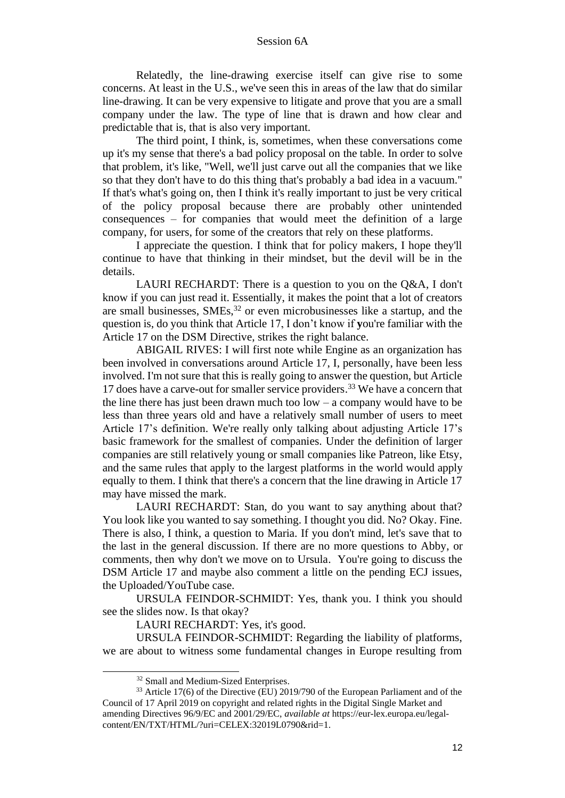Relatedly, the line-drawing exercise itself can give rise to some concerns. At least in the U.S., we've seen this in areas of the law that do similar line-drawing. It can be very expensive to litigate and prove that you are a small company under the law. The type of line that is drawn and how clear and predictable that is, that is also very important.

The third point, I think, is, sometimes, when these conversations come up it's my sense that there's a bad policy proposal on the table. In order to solve that problem, it's like, "Well, we'll just carve out all the companies that we like so that they don't have to do this thing that's probably a bad idea in a vacuum." If that's what's going on, then I think it's really important to just be very critical of the policy proposal because there are probably other unintended consequences – for companies that would meet the definition of a large company, for users, for some of the creators that rely on these platforms.

I appreciate the question. I think that for policy makers, I hope they'll continue to have that thinking in their mindset, but the devil will be in the details.

LAURI RECHARDT: There is a question to you on the Q&A, I don't know if you can just read it. Essentially, it makes the point that a lot of creators are small businesses,  $SMEs<sub>32</sub>$  or even microbusinesses like a startup, and the question is, do you think that Article 17, I don't know if **y**ou're familiar with the Article 17 on the DSM Directive, strikes the right balance.

ABIGAIL RIVES: I will first note while Engine as an organization has been involved in conversations around Article 17, I, personally, have been less involved. I'm not sure that this is really going to answer the question, but Article 17 does have a carve-out for smaller service providers.<sup>33</sup> We have a concern that the line there has just been drawn much too  $low - a$  company would have to be less than three years old and have a relatively small number of users to meet Article 17's definition. We're really only talking about adjusting Article 17's basic framework for the smallest of companies. Under the definition of larger companies are still relatively young or small companies like Patreon, like Etsy, and the same rules that apply to the largest platforms in the world would apply equally to them. I think that there's a concern that the line drawing in Article 17 may have missed the mark.

LAURI RECHARDT: Stan, do you want to say anything about that? You look like you wanted to say something. I thought you did. No? Okay. Fine. There is also, I think, a question to Maria. If you don't mind, let's save that to the last in the general discussion. If there are no more questions to Abby, or comments, then why don't we move on to Ursula. You're going to discuss the DSM Article 17 and maybe also comment a little on the pending ECJ issues, the Uploaded/YouTube case.

URSULA FEINDOR-SCHMIDT: Yes, thank you. I think you should see the slides now. Is that okay?

LAURI RECHARDT: Yes, it's good.

URSULA FEINDOR-SCHMIDT: Regarding the liability of platforms, we are about to witness some fundamental changes in Europe resulting from

<sup>32</sup> Small and Medium-Sized Enterprises.

<sup>&</sup>lt;sup>33</sup> Article 17(6) of the Directive (EU) 2019/790 of the European Parliament and of the Council of 17 April 2019 on copyright and related rights in the Digital Single Market and amending Directives 96/9/EC and 2001/29/EC, *available at* https://eur-lex.europa.eu/legalcontent/EN/TXT/HTML/?uri=CELEX:32019L0790&rid=1.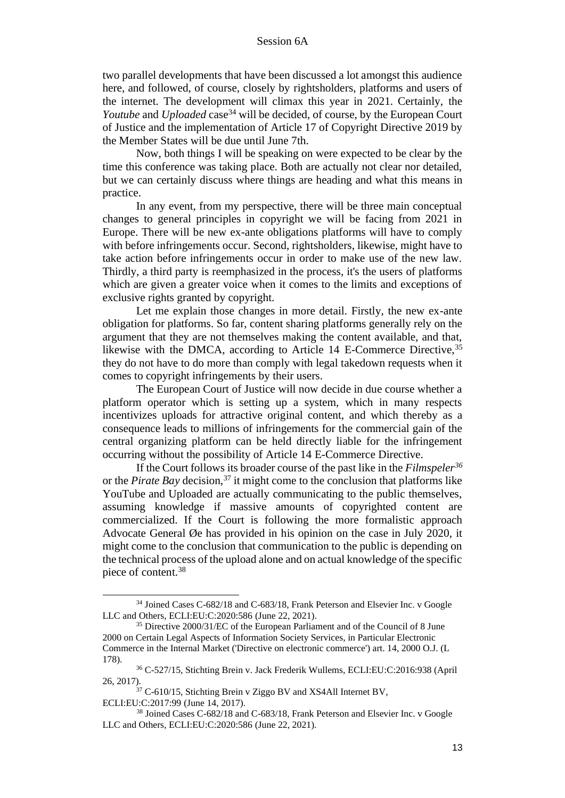two parallel developments that have been discussed a lot amongst this audience here, and followed, of course, closely by rightsholders, platforms and users of the internet. The development will climax this year in 2021. Certainly, the *Youtube* and *Uploaded* case<sup>34</sup> will be decided, of course, by the European Court of Justice and the implementation of Article 17 of Copyright Directive 2019 by the Member States will be due until June 7th.

Now, both things I will be speaking on were expected to be clear by the time this conference was taking place. Both are actually not clear nor detailed, but we can certainly discuss where things are heading and what this means in practice.

In any event, from my perspective, there will be three main conceptual changes to general principles in copyright we will be facing from 2021 in Europe. There will be new ex-ante obligations platforms will have to comply with before infringements occur. Second, rightsholders, likewise, might have to take action before infringements occur in order to make use of the new law. Thirdly, a third party is reemphasized in the process, it's the users of platforms which are given a greater voice when it comes to the limits and exceptions of exclusive rights granted by copyright.

Let me explain those changes in more detail. Firstly, the new ex-ante obligation for platforms. So far, content sharing platforms generally rely on the argument that they are not themselves making the content available, and that, likewise with the DMCA, according to Article 14 E-Commerce Directive, <sup>35</sup> they do not have to do more than comply with legal takedown requests when it comes to copyright infringements by their users.

The European Court of Justice will now decide in due course whether a platform operator which is setting up a system, which in many respects incentivizes uploads for attractive original content, and which thereby as a consequence leads to millions of infringements for the commercial gain of the central organizing platform can be held directly liable for the infringement occurring without the possibility of Article 14 E-Commerce Directive.

If the Court follows its broader course of the past like in the *Filmspeler<sup>36</sup>* or the *Pirate Bay* decision,<sup>37</sup> it might come to the conclusion that platforms like YouTube and Uploaded are actually communicating to the public themselves, assuming knowledge if massive amounts of copyrighted content are commercialized. If the Court is following the more formalistic approach Advocate General Øe has provided in his opinion on the case in July 2020, it might come to the conclusion that communication to the public is depending on the technical process of the upload alone and on actual knowledge of the specific piece of content.<sup>38</sup>

<sup>&</sup>lt;sup>34</sup> Joined Cases C-682/18 and C-683/18, Frank Peterson and Elsevier Inc. v Google LLC and Others, ECLI:EU:C:2020:586 (June 22, 2021).

<sup>35</sup> Directive 2000/31/EC of the European Parliament and of the Council of 8 June 2000 on Certain Legal Aspects of Information Society Services, in Particular Electronic Commerce in the Internal Market ('Directive on electronic commerce') art. 14, 2000 O.J. (L 178).

<sup>36</sup> C-527/15, Stichting Brein v. Jack Frederik Wullems, ECLI:EU:C:2016:938 (April 26, 2017).

<sup>&</sup>lt;sup>37</sup> C-610/15, Stichting Brein v Ziggo BV and XS4All Internet BV, ECLI:EU:C:2017:99 (June 14, 2017).

<sup>&</sup>lt;sup>38</sup> Joined Cases C-682/18 and C-683/18, Frank Peterson and Elsevier Inc. v Google LLC and Others, ECLI:EU:C:2020:586 (June 22, 2021).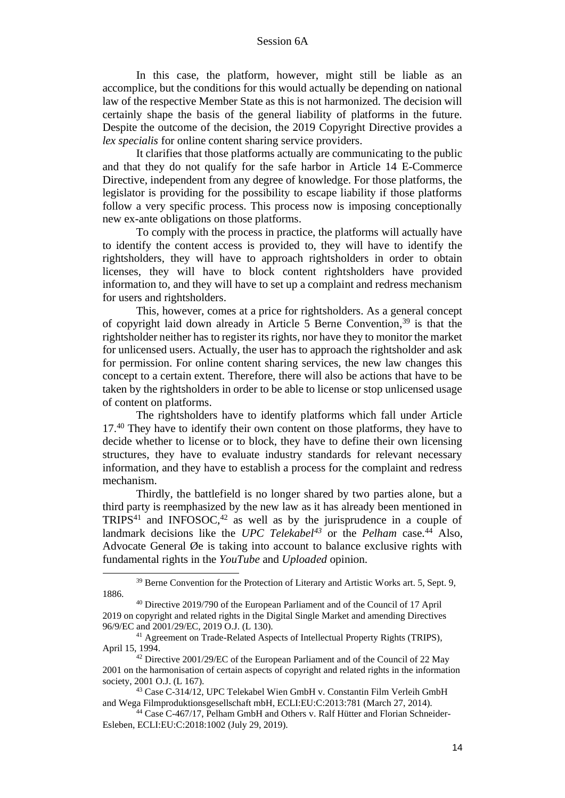In this case, the platform, however, might still be liable as an accomplice, but the conditions for this would actually be depending on national law of the respective Member State as this is not harmonized. The decision will certainly shape the basis of the general liability of platforms in the future. Despite the outcome of the decision, the 2019 Copyright Directive provides a *lex specialis* for online content sharing service providers.

It clarifies that those platforms actually are communicating to the public and that they do not qualify for the safe harbor in Article 14 E-Commerce Directive, independent from any degree of knowledge. For those platforms, the legislator is providing for the possibility to escape liability if those platforms follow a very specific process. This process now is imposing conceptionally new ex-ante obligations on those platforms.

To comply with the process in practice, the platforms will actually have to identify the content access is provided to, they will have to identify the rightsholders, they will have to approach rightsholders in order to obtain licenses, they will have to block content rightsholders have provided information to, and they will have to set up a complaint and redress mechanism for users and rightsholders.

This, however, comes at a price for rightsholders. As a general concept of copyright laid down already in Article 5 Berne Convention, <sup>39</sup> is that the rightsholder neither has to register its rights, nor have they to monitor the market for unlicensed users. Actually, the user has to approach the rightsholder and ask for permission. For online content sharing services, the new law changes this concept to a certain extent. Therefore, there will also be actions that have to be taken by the rightsholders in order to be able to license or stop unlicensed usage of content on platforms.

The rightsholders have to identify platforms which fall under Article 17.<sup>40</sup> They have to identify their own content on those platforms, they have to decide whether to license or to block, they have to define their own licensing structures, they have to evaluate industry standards for relevant necessary information, and they have to establish a process for the complaint and redress mechanism.

Thirdly, the battlefield is no longer shared by two parties alone, but a third party is reemphasized by the new law as it has already been mentioned in  $TRIPS<sup>41</sup>$  and  $INFOSOC<sup>42</sup>$  as well as by the jurisprudence in a couple of landmark decisions like the *UPC Telekabel<sup>43</sup>* or the *Pelham* case. <sup>44</sup> Also, Advocate General Øe is taking into account to balance exclusive rights with fundamental rights in the *YouTube* and *Uploaded* opinion.

<sup>&</sup>lt;sup>39</sup> Berne Convention for the Protection of Literary and Artistic Works art. 5, Sept. 9, 1886.

<sup>40</sup> Directive 2019/790 of the European Parliament and of the Council of 17 April 2019 on copyright and related rights in the Digital Single Market and amending Directives 96/9/EC and 2001/29/EC, 2019 O.J. (L 130).

<sup>&</sup>lt;sup>41</sup> Agreement on Trade-Related Aspects of Intellectual Property Rights (TRIPS), April 15, 1994.

 $42$  Directive 2001/29/EC of the European Parliament and of the Council of 22 May 2001 on the harmonisation of certain aspects of copyright and related rights in the information society, 2001 O.J. (L 167).

<sup>43</sup> Case C-314/12, UPC Telekabel Wien GmbH v. Constantin Film Verleih GmbH and Wega Filmproduktionsgesellschaft mbH, ECLI:EU:C:2013:781 (March 27, 2014).

<sup>44</sup> Case C-467/17, Pelham GmbH and Others v. Ralf Hütter and Florian Schneider-Esleben, ECLI:EU:C:2018:1002 (July 29, 2019).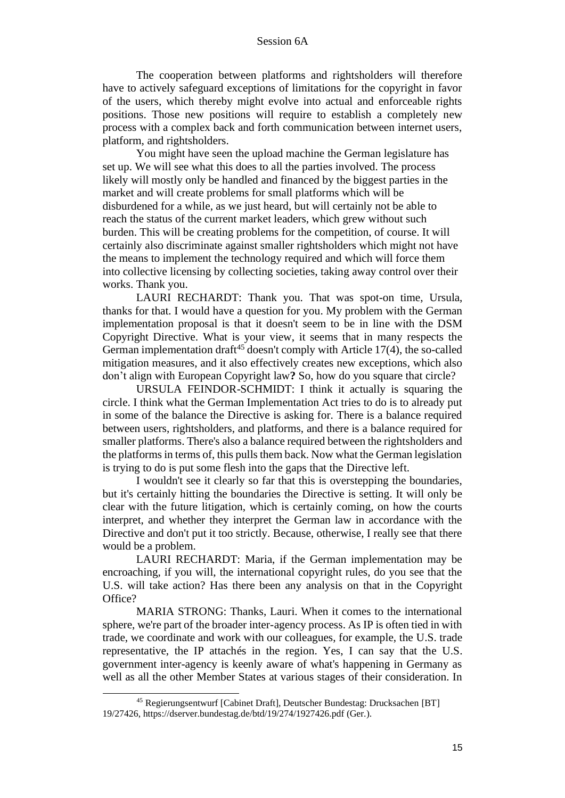The cooperation between platforms and rightsholders will therefore have to actively safeguard exceptions of limitations for the copyright in favor of the users, which thereby might evolve into actual and enforceable rights positions. Those new positions will require to establish a completely new process with a complex back and forth communication between internet users, platform, and rightsholders.

You might have seen the upload machine the German legislature has set up. We will see what this does to all the parties involved. The process likely will mostly only be handled and financed by the biggest parties in the market and will create problems for small platforms which will be disburdened for a while, as we just heard, but will certainly not be able to reach the status of the current market leaders, which grew without such burden. This will be creating problems for the competition, of course. It will certainly also discriminate against smaller rightsholders which might not have the means to implement the technology required and which will force them into collective licensing by collecting societies, taking away control over their works. Thank you.

LAURI RECHARDT: Thank you. That was spot-on time, Ursula, thanks for that. I would have a question for you. My problem with the German implementation proposal is that it doesn't seem to be in line with the DSM Copyright Directive. What is your view, it seems that in many respects the German implementation draft<sup>45</sup> doesn't comply with Article  $17(4)$ , the so-called mitigation measures, and it also effectively creates new exceptions, which also don't align with European Copyright law**?** So, how do you square that circle?

URSULA FEINDOR-SCHMIDT: I think it actually is squaring the circle. I think what the German Implementation Act tries to do is to already put in some of the balance the Directive is asking for. There is a balance required between users, rightsholders, and platforms, and there is a balance required for smaller platforms. There's also a balance required between the rightsholders and the platforms in terms of, this pulls them back. Now what the German legislation is trying to do is put some flesh into the gaps that the Directive left.

I wouldn't see it clearly so far that this is overstepping the boundaries, but it's certainly hitting the boundaries the Directive is setting. It will only be clear with the future litigation, which is certainly coming, on how the courts interpret, and whether they interpret the German law in accordance with the Directive and don't put it too strictly. Because, otherwise, I really see that there would be a problem.

LAURI RECHARDT: Maria, if the German implementation may be encroaching, if you will, the international copyright rules, do you see that the U.S. will take action? Has there been any analysis on that in the Copyright Office?

MARIA STRONG: Thanks, Lauri. When it comes to the international sphere, we're part of the broader inter-agency process. As IP is often tied in with trade, we coordinate and work with our colleagues, for example, the U.S. trade representative, the IP attachés in the region. Yes, I can say that the U.S. government inter-agency is keenly aware of what's happening in Germany as well as all the other Member States at various stages of their consideration. In

<sup>45</sup> Regierungsentwurf [Cabinet Draft], Deutscher Bundestag: Drucksachen [BT] 19/27426, https://dserver.bundestag.de/btd/19/274/1927426.pdf (Ger.).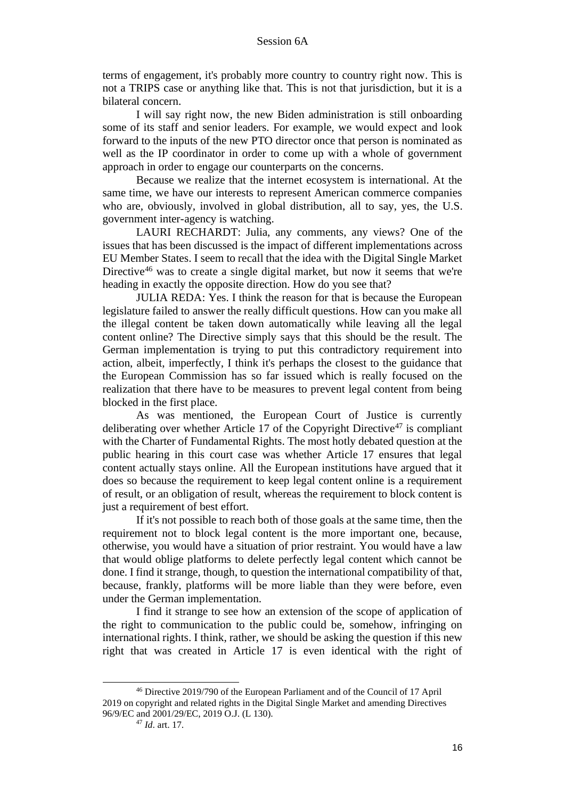terms of engagement, it's probably more country to country right now. This is not a TRIPS case or anything like that. This is not that jurisdiction, but it is a bilateral concern.

I will say right now, the new Biden administration is still onboarding some of its staff and senior leaders. For example, we would expect and look forward to the inputs of the new PTO director once that person is nominated as well as the IP coordinator in order to come up with a whole of government approach in order to engage our counterparts on the concerns.

Because we realize that the internet ecosystem is international. At the same time, we have our interests to represent American commerce companies who are, obviously, involved in global distribution, all to say, yes, the U.S. government inter-agency is watching.

LAURI RECHARDT: Julia, any comments, any views? One of the issues that has been discussed is the impact of different implementations across EU Member States. I seem to recall that the idea with the Digital Single Market Directive<sup>46</sup> was to create a single digital market, but now it seems that we're heading in exactly the opposite direction. How do you see that?

JULIA REDA: Yes. I think the reason for that is because the European legislature failed to answer the really difficult questions. How can you make all the illegal content be taken down automatically while leaving all the legal content online? The Directive simply says that this should be the result. The German implementation is trying to put this contradictory requirement into action, albeit, imperfectly, I think it's perhaps the closest to the guidance that the European Commission has so far issued which is really focused on the realization that there have to be measures to prevent legal content from being blocked in the first place.

As was mentioned, the European Court of Justice is currently deliberating over whether Article 17 of the Copyright Directive<sup>47</sup> is compliant with the Charter of Fundamental Rights. The most hotly debated question at the public hearing in this court case was whether Article 17 ensures that legal content actually stays online. All the European institutions have argued that it does so because the requirement to keep legal content online is a requirement of result, or an obligation of result, whereas the requirement to block content is just a requirement of best effort.

If it's not possible to reach both of those goals at the same time, then the requirement not to block legal content is the more important one, because, otherwise, you would have a situation of prior restraint. You would have a law that would oblige platforms to delete perfectly legal content which cannot be done. I find it strange, though, to question the international compatibility of that, because, frankly, platforms will be more liable than they were before, even under the German implementation.

I find it strange to see how an extension of the scope of application of the right to communication to the public could be, somehow, infringing on international rights. I think, rather, we should be asking the question if this new right that was created in Article 17 is even identical with the right of

<sup>46</sup> Directive 2019/790 of the European Parliament and of the Council of 17 April 2019 on copyright and related rights in the Digital Single Market and amending Directives 96/9/EC and 2001/29/EC, 2019 O.J. (L 130).

<sup>47</sup> *Id*. art. 17.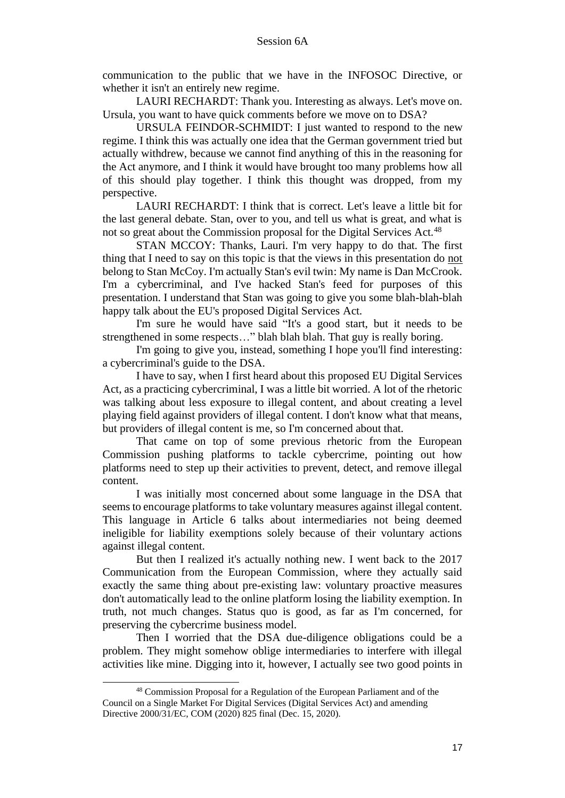communication to the public that we have in the INFOSOC Directive, or whether it isn't an entirely new regime.

LAURI RECHARDT: Thank you. Interesting as always. Let's move on. Ursula, you want to have quick comments before we move on to DSA?

URSULA FEINDOR-SCHMIDT: I just wanted to respond to the new regime. I think this was actually one idea that the German government tried but actually withdrew, because we cannot find anything of this in the reasoning for the Act anymore, and I think it would have brought too many problems how all of this should play together. I think this thought was dropped, from my perspective.

LAURI RECHARDT: I think that is correct. Let's leave a little bit for the last general debate. Stan, over to you, and tell us what is great, and what is not so great about the Commission proposal for the Digital Services Act.<sup>48</sup>

STAN MCCOY: Thanks, Lauri. I'm very happy to do that. The first thing that I need to say on this topic is that the views in this presentation do not belong to Stan McCoy. I'm actually Stan's evil twin: My name is Dan McCrook. I'm a cybercriminal, and I've hacked Stan's feed for purposes of this presentation. I understand that Stan was going to give you some blah-blah-blah happy talk about the EU's proposed Digital Services Act.

I'm sure he would have said "It's a good start, but it needs to be strengthened in some respects…" blah blah blah. That guy is really boring.

I'm going to give you, instead, something I hope you'll find interesting: a cybercriminal's guide to the DSA.

I have to say, when I first heard about this proposed EU Digital Services Act, as a practicing cybercriminal, I was a little bit worried. A lot of the rhetoric was talking about less exposure to illegal content, and about creating a level playing field against providers of illegal content. I don't know what that means, but providers of illegal content is me, so I'm concerned about that.

That came on top of some previous rhetoric from the European Commission pushing platforms to tackle cybercrime, pointing out how platforms need to step up their activities to prevent, detect, and remove illegal content.

I was initially most concerned about some language in the DSA that seems to encourage platforms to take voluntary measures against illegal content. This language in Article 6 talks about intermediaries not being deemed ineligible for liability exemptions solely because of their voluntary actions against illegal content.

But then I realized it's actually nothing new. I went back to the 2017 Communication from the European Commission, where they actually said exactly the same thing about pre-existing law: voluntary proactive measures don't automatically lead to the online platform losing the liability exemption. In truth, not much changes. Status quo is good, as far as I'm concerned, for preserving the cybercrime business model.

Then I worried that the DSA due-diligence obligations could be a problem. They might somehow oblige intermediaries to interfere with illegal activities like mine. Digging into it, however, I actually see two good points in

<sup>48</sup> Commission Proposal for a Regulation of the European Parliament and of the Council on a Single Market For Digital Services (Digital Services Act) and amending Directive 2000/31/EC, COM (2020) 825 final (Dec. 15, 2020).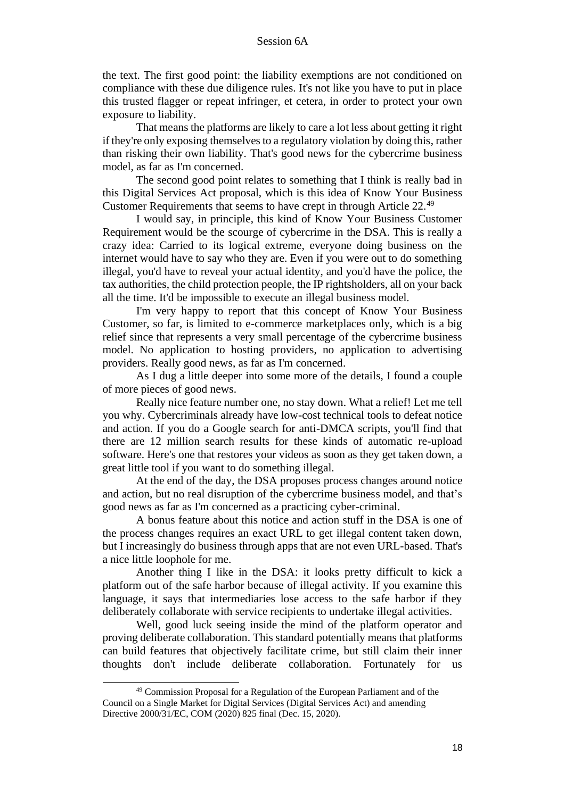the text. The first good point: the liability exemptions are not conditioned on compliance with these due diligence rules. It's not like you have to put in place this trusted flagger or repeat infringer, et cetera, in order to protect your own exposure to liability.

That means the platforms are likely to care a lot less about getting it right if they're only exposing themselves to a regulatory violation by doing this, rather than risking their own liability. That's good news for the cybercrime business model, as far as I'm concerned.

The second good point relates to something that I think is really bad in this Digital Services Act proposal, which is this idea of Know Your Business Customer Requirements that seems to have crept in through Article 22.<sup>49</sup>

I would say, in principle, this kind of Know Your Business Customer Requirement would be the scourge of cybercrime in the DSA. This is really a crazy idea: Carried to its logical extreme, everyone doing business on the internet would have to say who they are. Even if you were out to do something illegal, you'd have to reveal your actual identity, and you'd have the police, the tax authorities, the child protection people, the IP rightsholders, all on your back all the time. It'd be impossible to execute an illegal business model.

I'm very happy to report that this concept of Know Your Business Customer, so far, is limited to e-commerce marketplaces only, which is a big relief since that represents a very small percentage of the cybercrime business model. No application to hosting providers, no application to advertising providers. Really good news, as far as I'm concerned.

As I dug a little deeper into some more of the details, I found a couple of more pieces of good news.

Really nice feature number one, no stay down. What a relief! Let me tell you why. Cybercriminals already have low-cost technical tools to defeat notice and action. If you do a Google search for anti-DMCA scripts, you'll find that there are 12 million search results for these kinds of automatic re-upload software. Here's one that restores your videos as soon as they get taken down, a great little tool if you want to do something illegal.

At the end of the day, the DSA proposes process changes around notice and action, but no real disruption of the cybercrime business model, and that's good news as far as I'm concerned as a practicing cyber-criminal.

A bonus feature about this notice and action stuff in the DSA is one of the process changes requires an exact URL to get illegal content taken down, but I increasingly do business through apps that are not even URL-based. That's a nice little loophole for me.

Another thing I like in the DSA: it looks pretty difficult to kick a platform out of the safe harbor because of illegal activity. If you examine this language, it says that intermediaries lose access to the safe harbor if they deliberately collaborate with service recipients to undertake illegal activities.

Well, good luck seeing inside the mind of the platform operator and proving deliberate collaboration. This standard potentially means that platforms can build features that objectively facilitate crime, but still claim their inner thoughts don't include deliberate collaboration. Fortunately for us

<sup>49</sup> Commission Proposal for a Regulation of the European Parliament and of the Council on a Single Market for Digital Services (Digital Services Act) and amending Directive 2000/31/EC, COM (2020) 825 final (Dec. 15, 2020).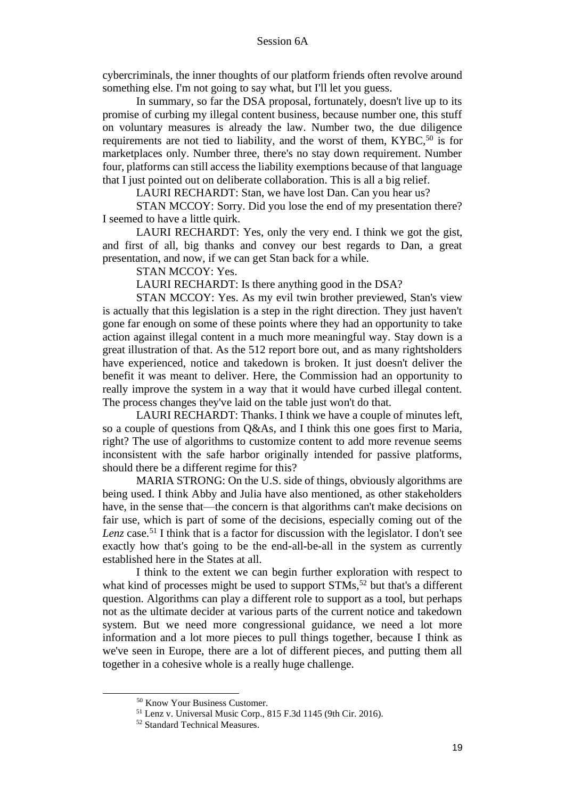cybercriminals, the inner thoughts of our platform friends often revolve around something else. I'm not going to say what, but I'll let you guess.

In summary, so far the DSA proposal, fortunately, doesn't live up to its promise of curbing my illegal content business, because number one, this stuff on voluntary measures is already the law. Number two, the due diligence requirements are not tied to liability, and the worst of them, KYBC,<sup>50</sup> is for marketplaces only. Number three, there's no stay down requirement. Number four, platforms can still access the liability exemptions because of that language that I just pointed out on deliberate collaboration. This is all a big relief.

LAURI RECHARDT: Stan, we have lost Dan. Can you hear us?

STAN MCCOY: Sorry. Did you lose the end of my presentation there? I seemed to have a little quirk.

LAURI RECHARDT: Yes, only the very end. I think we got the gist, and first of all, big thanks and convey our best regards to Dan, a great presentation, and now, if we can get Stan back for a while.

STAN MCCOY: Yes.

LAURI RECHARDT: Is there anything good in the DSA?

STAN MCCOY: Yes. As my evil twin brother previewed, Stan's view is actually that this legislation is a step in the right direction. They just haven't gone far enough on some of these points where they had an opportunity to take action against illegal content in a much more meaningful way. Stay down is a great illustration of that. As the 512 report bore out, and as many rightsholders have experienced, notice and takedown is broken. It just doesn't deliver the benefit it was meant to deliver. Here, the Commission had an opportunity to really improve the system in a way that it would have curbed illegal content. The process changes they've laid on the table just won't do that.

LAURI RECHARDT: Thanks. I think we have a couple of minutes left, so a couple of questions from Q&As, and I think this one goes first to Maria, right? The use of algorithms to customize content to add more revenue seems inconsistent with the safe harbor originally intended for passive platforms, should there be a different regime for this?

MARIA STRONG: On the U.S. side of things, obviously algorithms are being used. I think Abby and Julia have also mentioned, as other stakeholders have, in the sense that—the concern is that algorithms can't make decisions on fair use, which is part of some of the decisions, especially coming out of the Lenz case.<sup>51</sup> I think that is a factor for discussion with the legislator. I don't see exactly how that's going to be the end-all-be-all in the system as currently established here in the States at all.

I think to the extent we can begin further exploration with respect to what kind of processes might be used to support STMs,<sup>52</sup> but that's a different question. Algorithms can play a different role to support as a tool, but perhaps not as the ultimate decider at various parts of the current notice and takedown system. But we need more congressional guidance, we need a lot more information and a lot more pieces to pull things together, because I think as we've seen in Europe, there are a lot of different pieces, and putting them all together in a cohesive whole is a really huge challenge.

<sup>50</sup> Know Your Business Customer.

<sup>51</sup> Lenz v. Universal Music Corp., 815 F.3d 1145 (9th Cir. 2016).

<sup>52</sup> Standard Technical Measures.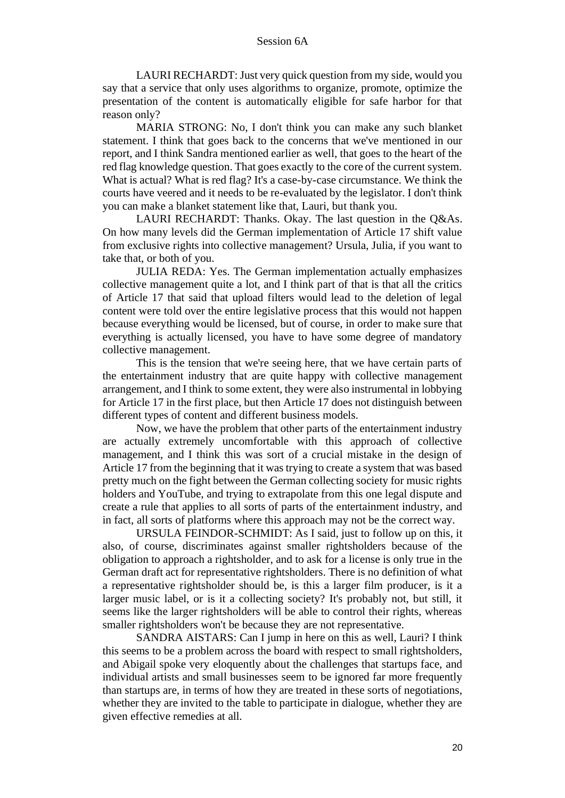LAURI RECHARDT: Just very quick question from my side, would you say that a service that only uses algorithms to organize, promote, optimize the presentation of the content is automatically eligible for safe harbor for that reason only?

MARIA STRONG: No, I don't think you can make any such blanket statement. I think that goes back to the concerns that we've mentioned in our report, and I think Sandra mentioned earlier as well, that goes to the heart of the red flag knowledge question. That goes exactly to the core of the current system. What is actual? What is red flag? It's a case-by-case circumstance. We think the courts have veered and it needs to be re-evaluated by the legislator. I don't think you can make a blanket statement like that, Lauri, but thank you.

LAURI RECHARDT: Thanks. Okay. The last question in the Q&As. On how many levels did the German implementation of Article 17 shift value from exclusive rights into collective management? Ursula, Julia, if you want to take that, or both of you.

JULIA REDA: Yes. The German implementation actually emphasizes collective management quite a lot, and I think part of that is that all the critics of Article 17 that said that upload filters would lead to the deletion of legal content were told over the entire legislative process that this would not happen because everything would be licensed, but of course, in order to make sure that everything is actually licensed, you have to have some degree of mandatory collective management.

This is the tension that we're seeing here, that we have certain parts of the entertainment industry that are quite happy with collective management arrangement, and I think to some extent, they were also instrumental in lobbying for Article 17 in the first place, but then Article 17 does not distinguish between different types of content and different business models.

Now, we have the problem that other parts of the entertainment industry are actually extremely uncomfortable with this approach of collective management, and I think this was sort of a crucial mistake in the design of Article 17 from the beginning that it was trying to create a system that was based pretty much on the fight between the German collecting society for music rights holders and YouTube, and trying to extrapolate from this one legal dispute and create a rule that applies to all sorts of parts of the entertainment industry, and in fact, all sorts of platforms where this approach may not be the correct way.

URSULA FEINDOR-SCHMIDT: As I said, just to follow up on this, it also, of course, discriminates against smaller rightsholders because of the obligation to approach a rightsholder, and to ask for a license is only true in the German draft act for representative rightsholders. There is no definition of what a representative rightsholder should be, is this a larger film producer, is it a larger music label, or is it a collecting society? It's probably not, but still, it seems like the larger rightsholders will be able to control their rights, whereas smaller rightsholders won't be because they are not representative.

SANDRA AISTARS: Can I jump in here on this as well, Lauri? I think this seems to be a problem across the board with respect to small rightsholders, and Abigail spoke very eloquently about the challenges that startups face, and individual artists and small businesses seem to be ignored far more frequently than startups are, in terms of how they are treated in these sorts of negotiations, whether they are invited to the table to participate in dialogue, whether they are given effective remedies at all.